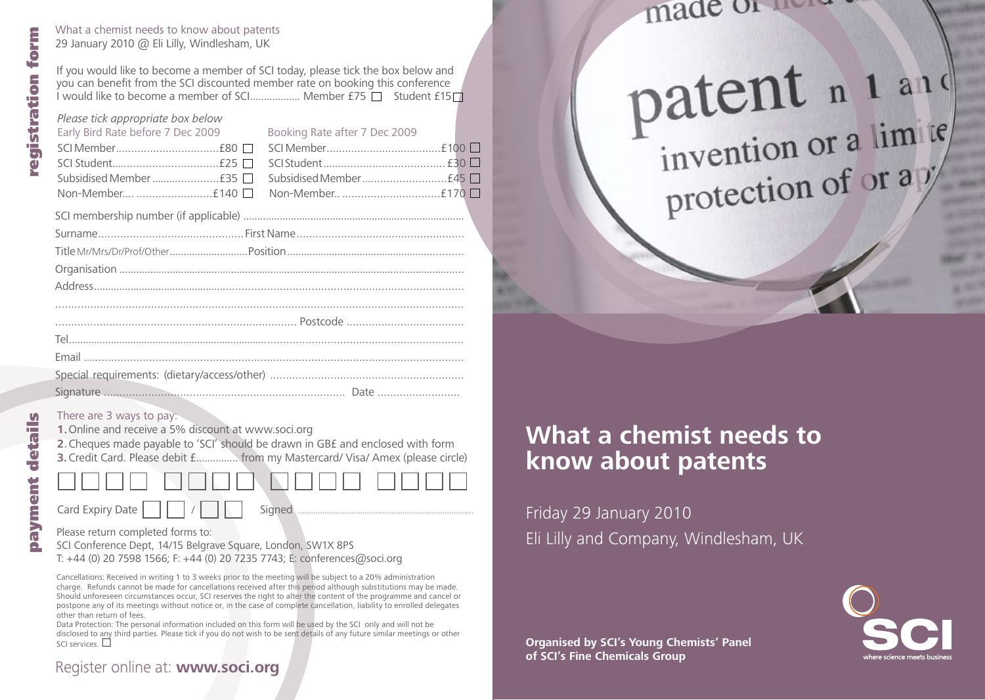What a chemist needs to know about patents 29 January 2010 @ Eli Lilly, Windlesham, UK

If you would like to become a member of SCI today, please tick the box below and you can benefit from the SCI discounted member rate on booking this conference I would like to become a member of SCI................... Member  $£75$  Student  $£15$ 

#### *Please tick appropriate box below* Early Bird Rate before 7 Dec 2009 SCI Member .................................£80 SCI Student..................................£25 Subsidised Member ......................£35 Non-Member.... ........................£140 Booking Rate after 7 Dec 2009 SCI Member .....................................£ 100 SCI Student ....................................... £30 Subsidised Member  $\ldots$  $\ldots$  $\ldots$  $\ldots$  $\ldots$  $\ldots$  $\vdots$ 45 $\Box$ Non-Member.. ...............................£170

#### There are 3 ways to pay:

**1.**Online and receive a 5% discount at www.soci.org

**2.**Cheques made payable to 'SCI' should be drawn in GB£ and enclosed with form **3.**Credit Card. Please debit £............... from my Mastercard/ Visa/ Amex (please circle)

Card Expiry Date / Signed ...............................................................................

Please return completed forms to:

SCI Conference Dept, 14/15 Belgrave Square, London, SW1X 8PS T: +44 (0) 20 7598 1566; F: +44 (0) 20 7235 7743; E: conferences@soci.org

Cancellations: Received in writing 1 to 3 weeks prior to the meeting will be subject to a 20% administration charge. Refunds cannot be made for cancellations received after this period although substitutions may be made. Should unforeseen circumstances occur, SCI reserves the right to alter the content of the programme and cancel or postpone any of its meetings without notice or, in the case of complete cancellation, liability to enrolled delegates other than return of fees.

Data Protection: The personal information included on this form will be used by the SCI only and will not be disclosed to any third parties. Please tick if you do not wish to be sent details of any future similar meetings or other SCI services.  $\square$ 

## made or the se

# patent n 1 a1d protection of or ay

## **What a chemist needs to know about patents**

Friday 29 January 2010 Eli Lilly and Company, Windlesham, UK

**Organised by SCI's Young Chemists' Panel of SCI's Fine Chemicals Group**



**SA** 

registration form

gistration

form

#### Register online at: **www.soci.org**